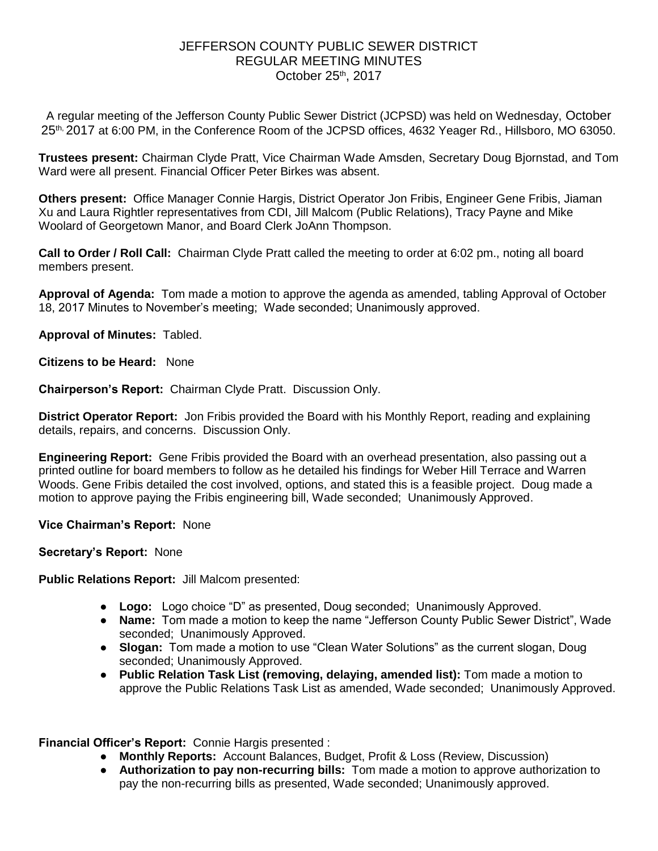## JEFFERSON COUNTY PUBLIC SEWER DISTRICT REGULAR MEETING MINUTES October 25th, 2017

A regular meeting of the Jefferson County Public Sewer District (JCPSD) was held on Wednesday, October 25<sup>th, 2</sup>017 at 6:00 PM, in the Conference Room of the JCPSD offices, 4632 Yeager Rd., Hillsboro, MO 63050.

**Trustees present:** Chairman Clyde Pratt, Vice Chairman Wade Amsden, Secretary Doug Bjornstad, and Tom Ward were all present. Financial Officer Peter Birkes was absent.

**Others present:** Office Manager Connie Hargis, District Operator Jon Fribis, Engineer Gene Fribis, Jiaman Xu and Laura Rightler representatives from CDI, Jill Malcom (Public Relations), Tracy Payne and Mike Woolard of Georgetown Manor, and Board Clerk JoAnn Thompson.

**Call to Order / Roll Call:** Chairman Clyde Pratt called the meeting to order at 6:02 pm., noting all board members present.

**Approval of Agenda:** Tom made a motion to approve the agenda as amended, tabling Approval of October 18, 2017 Minutes to November's meeting; Wade seconded; Unanimously approved.

**Approval of Minutes:** Tabled.

**Citizens to be Heard:** None

**Chairperson's Report:** Chairman Clyde Pratt. Discussion Only.

**District Operator Report:** Jon Fribis provided the Board with his Monthly Report, reading and explaining details, repairs, and concerns. Discussion Only.

**Engineering Report:** Gene Fribis provided the Board with an overhead presentation, also passing out a printed outline for board members to follow as he detailed his findings for Weber Hill Terrace and Warren Woods. Gene Fribis detailed the cost involved, options, and stated this is a feasible project. Doug made a motion to approve paying the Fribis engineering bill, Wade seconded; Unanimously Approved.

**Vice Chairman's Report:** None

**Secretary's Report:** None

**Public Relations Report:** Jill Malcom presented:

- **Logo:** Logo choice "D" as presented, Doug seconded; Unanimously Approved.
- **Name:** Tom made a motion to keep the name "Jefferson County Public Sewer District", Wade seconded; Unanimously Approved.
- **Slogan:** Tom made a motion to use "Clean Water Solutions" as the current slogan, Doug seconded; Unanimously Approved.
- **Public Relation Task List (removing, delaying, amended list):** Tom made a motion to approve the Public Relations Task List as amended, Wade seconded; Unanimously Approved.

**Financial Officer's Report:** Connie Hargis presented :

- **Monthly Reports:** Account Balances, Budget, Profit & Loss (Review, Discussion)
- **Authorization to pay non-recurring bills:** Tom made a motion to approve authorization to pay the non-recurring bills as presented, Wade seconded; Unanimously approved.